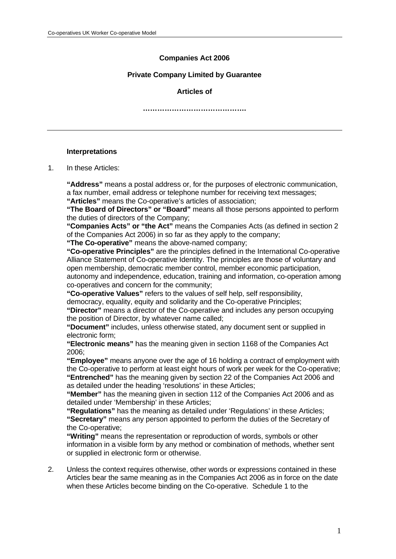# **Companies Act 2006**

### **Private Company Limited by Guarantee**

### **Articles of**

**…………………………………….** 

### **Interpretations**

1. In these Articles:

**"Address"** means a postal address or, for the purposes of electronic communication, a fax number, email address or telephone number for receiving text messages;

**"Articles"** means the Co-operative's articles of association;

 **"The Board of Directors" or "Board"** means all those persons appointed to perform the duties of directors of the Company;

 **"Companies Acts" or "the Act"** means the Companies Acts (as defined in section 2 of the Companies Act 2006) in so far as they apply to the company;

**"The Co-operative"** means the above-named company;

**"Co-operative Principles"** are the principles defined in the International Co-operative Alliance Statement of Co-operative Identity. The principles are those of voluntary and open membership, democratic member control, member economic participation, autonomy and independence, education, training and information, co-operation among

co-operatives and concern for the community;

 **"Co-operative Values"** refers to the values of self help, self responsibility,

democracy, equality, equity and solidarity and the Co-operative Principles;

**"Director"** means a director of the Co-operative and includes any person occupying the position of Director, by whatever name called;

**"Document"** includes, unless otherwise stated, any document sent or supplied in electronic form;

**"Electronic means"** has the meaning given in section 1168 of the Companies Act 2006;

**"Employee"** means anyone over the age of 16 holding a contract of employment with the Co-operative to perform at least eight hours of work per week for the Co-operative; **"Entrenched"** has the meaning given by section 22 of the Companies Act 2006 and as detailed under the heading 'resolutions' in these Articles;

**"Member"** has the meaning given in section 112 of the Companies Act 2006 and as detailed under 'Membership' in these Articles;

**"Regulations"** has the meaning as detailed under 'Regulations' in these Articles; **"Secretary"** means any person appointed to perform the duties of the Secretary of the Co-operative;

**"Writing"** means the representation or reproduction of words, symbols or other information in a visible form by any method or combination of methods, whether sent or supplied in electronic form or otherwise.

2. Unless the context requires otherwise, other words or expressions contained in these Articles bear the same meaning as in the Companies Act 2006 as in force on the date when these Articles become binding on the Co-operative. Schedule 1 to the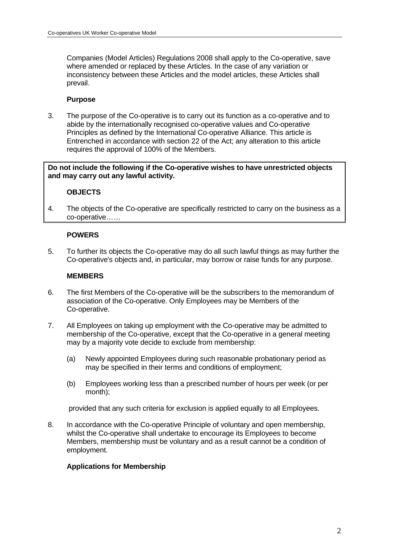Companies (Model Articles) Regulations 2008 shall apply to the Co-operative, save where amended or replaced by these Articles. In the case of any variation or inconsistency between these Articles and the model articles, these Articles shall prevail.

### **Purpose**

3. The purpose of the Co-operative is to carry out its function as a co-operative and to abide by the internationally recognised co-operative values and Co-operative Principles as defined by the International Co-operative Alliance. This article is Entrenched in accordance with section 22 of the Act; any alteration to this article requires the approval of 100% of the Members.

**Do not include the following if the Co-operative wishes to have unrestricted objects and may carry out any lawful activity.** 

### **OBJECTS**

4. The objects of the Co-operative are specifically restricted to carry on the business as a co-operative……

### **POWERS**

5. To further its objects the Co-operative may do all such lawful things as may further the Co-operative's objects and, in particular, may borrow or raise funds for any purpose.

### **MEMBERS**

- 6. The first Members of the Co-operative will be the subscribers to the memorandum of association of the Co-operative. Only Employees may be Members of the Co-operative.
- 7. All Employees on taking up employment with the Co-operative may be admitted to membership of the Co-operative, except that the Co-operative in a general meeting may by a majority vote decide to exclude from membership:
	- (a) Newly appointed Employees during such reasonable probationary period as may be specified in their terms and conditions of employment;
	- (b) Employees working less than a prescribed number of hours per week (or per month);

provided that any such criteria for exclusion is applied equally to all Employees.

8. In accordance with the Co-operative Principle of voluntary and open membership, whilst the Co-operative shall undertake to encourage its Employees to become Members, membership must be voluntary and as a result cannot be a condition of employment.

### **Applications for Membership**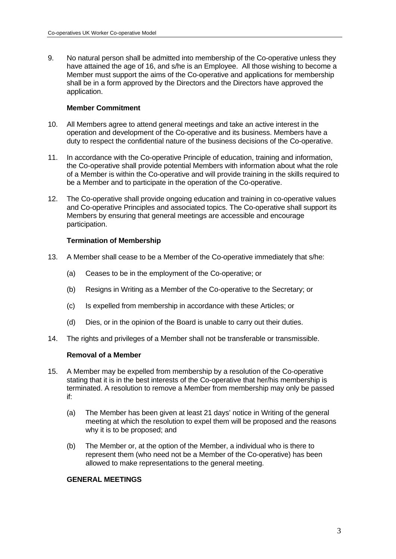9. No natural person shall be admitted into membership of the Co-operative unless they have attained the age of 16, and s/he is an Employee. All those wishing to become a Member must support the aims of the Co-operative and applications for membership shall be in a form approved by the Directors and the Directors have approved the application.

### **Member Commitment**

- 10. All Members agree to attend general meetings and take an active interest in the operation and development of the Co-operative and its business. Members have a duty to respect the confidential nature of the business decisions of the Co-operative.
- 11. In accordance with the Co-operative Principle of education, training and information, the Co-operative shall provide potential Members with information about what the role of a Member is within the Co-operative and will provide training in the skills required to be a Member and to participate in the operation of the Co-operative.
- 12. The Co-operative shall provide ongoing education and training in co-operative values and Co-operative Principles and associated topics. The Co-operative shall support its Members by ensuring that general meetings are accessible and encourage participation.

# **Termination of Membership**

- 13. A Member shall cease to be a Member of the Co-operative immediately that s/he:
	- (a) Ceases to be in the employment of the Co-operative; or
	- (b) Resigns in Writing as a Member of the Co-operative to the Secretary; or
	- (c) Is expelled from membership in accordance with these Articles; or
	- (d) Dies, or in the opinion of the Board is unable to carry out their duties.
- 14. The rights and privileges of a Member shall not be transferable or transmissible.

# **Removal of a Member**

- 15. A Member may be expelled from membership by a resolution of the Co-operative stating that it is in the best interests of the Co-operative that her/his membership is terminated. A resolution to remove a Member from membership may only be passed if:
	- (a) The Member has been given at least 21 days' notice in Writing of the general meeting at which the resolution to expel them will be proposed and the reasons why it is to be proposed; and
	- (b) The Member or, at the option of the Member, a individual who is there to represent them (who need not be a Member of the Co-operative) has been allowed to make representations to the general meeting.

### **GENERAL MEETINGS**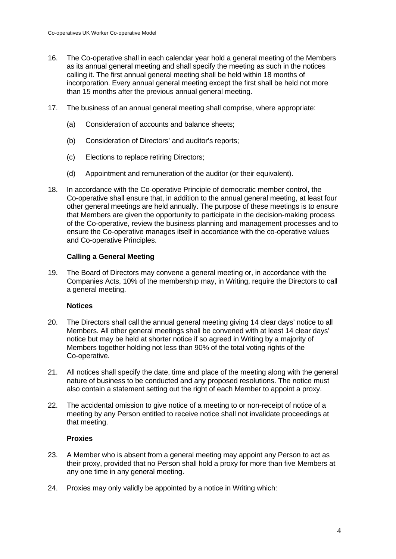- 16. The Co-operative shall in each calendar year hold a general meeting of the Members as its annual general meeting and shall specify the meeting as such in the notices calling it. The first annual general meeting shall be held within 18 months of incorporation. Every annual general meeting except the first shall be held not more than 15 months after the previous annual general meeting.
- 17. The business of an annual general meeting shall comprise, where appropriate:
	- (a) Consideration of accounts and balance sheets;
	- (b) Consideration of Directors' and auditor's reports;
	- (c) Elections to replace retiring Directors;
	- (d) Appointment and remuneration of the auditor (or their equivalent).
- 18. In accordance with the Co-operative Principle of democratic member control, the Co-operative shall ensure that, in addition to the annual general meeting, at least four other general meetings are held annually. The purpose of these meetings is to ensure that Members are given the opportunity to participate in the decision-making process of the Co-operative, review the business planning and management processes and to ensure the Co-operative manages itself in accordance with the co-operative values and Co-operative Principles.

### **Calling a General Meeting**

19. The Board of Directors may convene a general meeting or, in accordance with the Companies Acts, 10% of the membership may, in Writing, require the Directors to call a general meeting.

### **Notices**

- 20. The Directors shall call the annual general meeting giving 14 clear days' notice to all Members. All other general meetings shall be convened with at least 14 clear days' notice but may be held at shorter notice if so agreed in Writing by a majority of Members together holding not less than 90% of the total voting rights of the Co-operative.
- 21. All notices shall specify the date, time and place of the meeting along with the general nature of business to be conducted and any proposed resolutions. The notice must also contain a statement setting out the right of each Member to appoint a proxy.
- 22. The accidental omission to give notice of a meeting to or non-receipt of notice of a meeting by any Person entitled to receive notice shall not invalidate proceedings at that meeting.

### **Proxies**

- 23. A Member who is absent from a general meeting may appoint any Person to act as their proxy, provided that no Person shall hold a proxy for more than five Members at any one time in any general meeting.
- 24. Proxies may only validly be appointed by a notice in Writing which: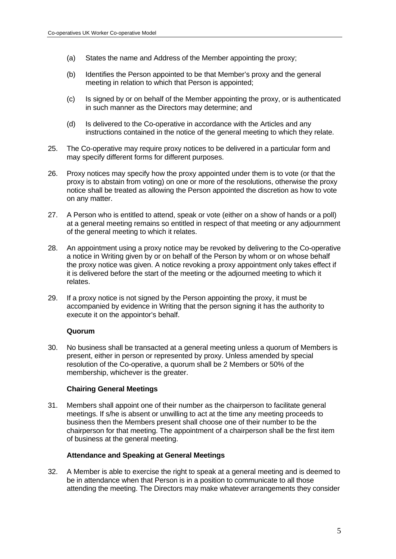- (a) States the name and Address of the Member appointing the proxy;
- (b) Identifies the Person appointed to be that Member's proxy and the general meeting in relation to which that Person is appointed;
- (c) Is signed by or on behalf of the Member appointing the proxy, or is authenticated in such manner as the Directors may determine; and
- (d) Is delivered to the Co-operative in accordance with the Articles and any instructions contained in the notice of the general meeting to which they relate.
- 25. The Co-operative may require proxy notices to be delivered in a particular form and may specify different forms for different purposes.
- 26. Proxy notices may specify how the proxy appointed under them is to vote (or that the proxy is to abstain from voting) on one or more of the resolutions, otherwise the proxy notice shall be treated as allowing the Person appointed the discretion as how to vote on any matter.
- 27. A Person who is entitled to attend, speak or vote (either on a show of hands or a poll) at a general meeting remains so entitled in respect of that meeting or any adjournment of the general meeting to which it relates.
- 28. An appointment using a proxy notice may be revoked by delivering to the Co-operative a notice in Writing given by or on behalf of the Person by whom or on whose behalf the proxy notice was given. A notice revoking a proxy appointment only takes effect if it is delivered before the start of the meeting or the adjourned meeting to which it relates.
- 29. If a proxy notice is not signed by the Person appointing the proxy, it must be accompanied by evidence in Writing that the person signing it has the authority to execute it on the appointor's behalf.

### **Quorum**

30. No business shall be transacted at a general meeting unless a quorum of Members is present, either in person or represented by proxy. Unless amended by special resolution of the Co-operative, a quorum shall be 2 Members or 50% of the membership, whichever is the greater.

# **Chairing General Meetings**

31. Members shall appoint one of their number as the chairperson to facilitate general meetings. If s/he is absent or unwilling to act at the time any meeting proceeds to business then the Members present shall choose one of their number to be the chairperson for that meeting. The appointment of a chairperson shall be the first item of business at the general meeting.

### **Attendance and Speaking at General Meetings**

32. A Member is able to exercise the right to speak at a general meeting and is deemed to be in attendance when that Person is in a position to communicate to all those attending the meeting. The Directors may make whatever arrangements they consider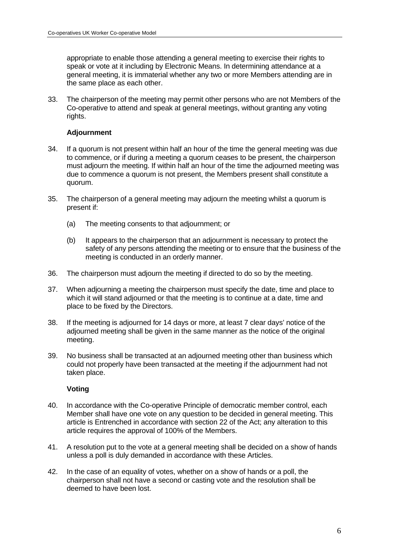appropriate to enable those attending a general meeting to exercise their rights to speak or vote at it including by Electronic Means. In determining attendance at a general meeting, it is immaterial whether any two or more Members attending are in the same place as each other.

33. The chairperson of the meeting may permit other persons who are not Members of the Co-operative to attend and speak at general meetings, without granting any voting rights.

### **Adjournment**

- 34. If a quorum is not present within half an hour of the time the general meeting was due to commence, or if during a meeting a quorum ceases to be present, the chairperson must adjourn the meeting. If within half an hour of the time the adjourned meeting was due to commence a quorum is not present, the Members present shall constitute a quorum.
- 35. The chairperson of a general meeting may adjourn the meeting whilst a quorum is present if:
	- (a) The meeting consents to that adjournment; or
	- (b) It appears to the chairperson that an adjournment is necessary to protect the safety of any persons attending the meeting or to ensure that the business of the meeting is conducted in an orderly manner.
- 36. The chairperson must adjourn the meeting if directed to do so by the meeting.
- 37. When adjourning a meeting the chairperson must specify the date, time and place to which it will stand adjourned or that the meeting is to continue at a date, time and place to be fixed by the Directors.
- 38. If the meeting is adjourned for 14 days or more, at least 7 clear days' notice of the adjourned meeting shall be given in the same manner as the notice of the original meeting.
- 39. No business shall be transacted at an adjourned meeting other than business which could not properly have been transacted at the meeting if the adjournment had not taken place.

# **Voting**

- 40. In accordance with the Co-operative Principle of democratic member control, each Member shall have one vote on any question to be decided in general meeting. This article is Entrenched in accordance with section 22 of the Act; any alteration to this article requires the approval of 100% of the Members.
- 41. A resolution put to the vote at a general meeting shall be decided on a show of hands unless a poll is duly demanded in accordance with these Articles.
- 42. In the case of an equality of votes, whether on a show of hands or a poll, the chairperson shall not have a second or casting vote and the resolution shall be deemed to have been lost.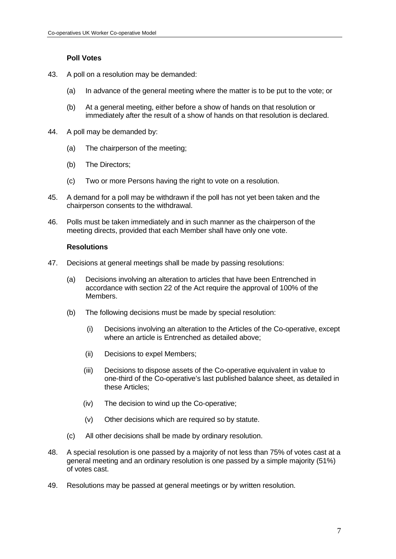# **Poll Votes**

- 43. A poll on a resolution may be demanded:
	- (a) In advance of the general meeting where the matter is to be put to the vote; or
	- (b) At a general meeting, either before a show of hands on that resolution or immediately after the result of a show of hands on that resolution is declared.
- 44. A poll may be demanded by:
	- (a) The chairperson of the meeting;
	- (b) The Directors;
	- (c) Two or more Persons having the right to vote on a resolution.
- 45. A demand for a poll may be withdrawn if the poll has not yet been taken and the chairperson consents to the withdrawal.
- 46. Polls must be taken immediately and in such manner as the chairperson of the meeting directs, provided that each Member shall have only one vote.

### **Resolutions**

- 47. Decisions at general meetings shall be made by passing resolutions:
	- (a) Decisions involving an alteration to articles that have been Entrenched in accordance with section 22 of the Act require the approval of 100% of the Members.
	- (b) The following decisions must be made by special resolution:
		- (i) Decisions involving an alteration to the Articles of the Co-operative, except where an article is Entrenched as detailed above;
		- (ii) Decisions to expel Members;
		- (iii) Decisions to dispose assets of the Co-operative equivalent in value to one-third of the Co-operative's last published balance sheet, as detailed in these Articles;
		- (iv) The decision to wind up the Co-operative;
		- (v) Other decisions which are required so by statute.
	- (c) All other decisions shall be made by ordinary resolution.
- 48. A special resolution is one passed by a majority of not less than 75% of votes cast at a general meeting and an ordinary resolution is one passed by a simple majority (51%) of votes cast.
- 49. Resolutions may be passed at general meetings or by written resolution.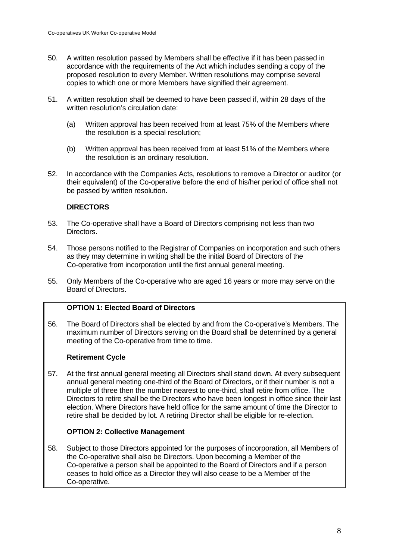- 50. A written resolution passed by Members shall be effective if it has been passed in accordance with the requirements of the Act which includes sending a copy of the proposed resolution to every Member. Written resolutions may comprise several copies to which one or more Members have signified their agreement.
- 51. A written resolution shall be deemed to have been passed if, within 28 days of the written resolution's circulation date:
	- (a) Written approval has been received from at least 75% of the Members where the resolution is a special resolution;
	- (b) Written approval has been received from at least 51% of the Members where the resolution is an ordinary resolution.
- 52. In accordance with the Companies Acts, resolutions to remove a Director or auditor (or their equivalent) of the Co-operative before the end of his/her period of office shall not be passed by written resolution.

# **DIRECTORS**

- 53. The Co-operative shall have a Board of Directors comprising not less than two Directors.
- 54. Those persons notified to the Registrar of Companies on incorporation and such others as they may determine in writing shall be the initial Board of Directors of the Co-operative from incorporation until the first annual general meeting.
- 55. Only Members of the Co-operative who are aged 16 years or more may serve on the Board of Directors.

# **OPTION 1: Elected Board of Directors**

56. The Board of Directors shall be elected by and from the Co-operative's Members. The maximum number of Directors serving on the Board shall be determined by a general meeting of the Co-operative from time to time.

# **Retirement Cycle**

57. At the first annual general meeting all Directors shall stand down. At every subsequent annual general meeting one-third of the Board of Directors, or if their number is not a multiple of three then the number nearest to one-third, shall retire from office. The Directors to retire shall be the Directors who have been longest in office since their last election. Where Directors have held office for the same amount of time the Director to retire shall be decided by lot. A retiring Director shall be eligible for re-election.

# **OPTION 2: Collective Management**

58. Subject to those Directors appointed for the purposes of incorporation, all Members of the Co-operative shall also be Directors. Upon becoming a Member of the Co-operative a person shall be appointed to the Board of Directors and if a person ceases to hold office as a Director they will also cease to be a Member of the Co-operative.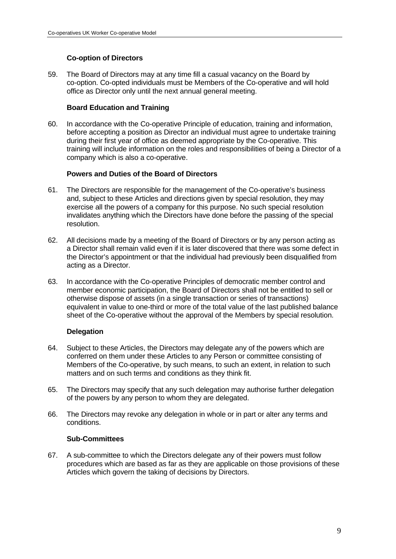# **Co-option of Directors**

59. The Board of Directors may at any time fill a casual vacancy on the Board by co-option. Co-opted individuals must be Members of the Co-operative and will hold office as Director only until the next annual general meeting.

# **Board Education and Training**

60. In accordance with the Co-operative Principle of education, training and information, before accepting a position as Director an individual must agree to undertake training during their first year of office as deemed appropriate by the Co-operative. This training will include information on the roles and responsibilities of being a Director of a company which is also a co-operative.

# **Powers and Duties of the Board of Directors**

- 61. The Directors are responsible for the management of the Co-operative's business and, subject to these Articles and directions given by special resolution, they may exercise all the powers of a company for this purpose. No such special resolution invalidates anything which the Directors have done before the passing of the special resolution.
- 62. All decisions made by a meeting of the Board of Directors or by any person acting as a Director shall remain valid even if it is later discovered that there was some defect in the Director's appointment or that the individual had previously been disqualified from acting as a Director.
- 63. In accordance with the Co-operative Principles of democratic member control and member economic participation, the Board of Directors shall not be entitled to sell or otherwise dispose of assets (in a single transaction or series of transactions) equivalent in value to one-third or more of the total value of the last published balance sheet of the Co-operative without the approval of the Members by special resolution.

# **Delegation**

- 64. Subject to these Articles, the Directors may delegate any of the powers which are conferred on them under these Articles to any Person or committee consisting of Members of the Co-operative, by such means, to such an extent, in relation to such matters and on such terms and conditions as they think fit.
- 65. The Directors may specify that any such delegation may authorise further delegation of the powers by any person to whom they are delegated.
- 66. The Directors may revoke any delegation in whole or in part or alter any terms and conditions.

### **Sub-Committees**

67. A sub-committee to which the Directors delegate any of their powers must follow procedures which are based as far as they are applicable on those provisions of these Articles which govern the taking of decisions by Directors.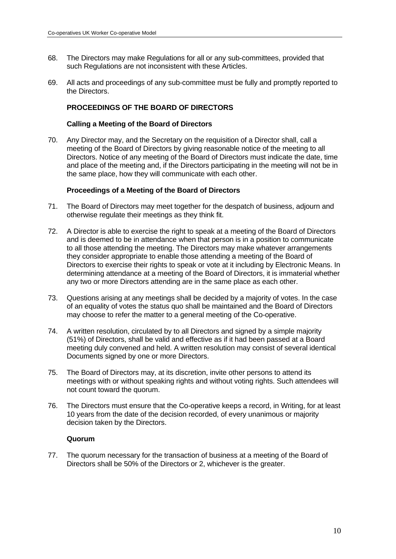- 68. The Directors may make Regulations for all or any sub-committees, provided that such Regulations are not inconsistent with these Articles.
- 69. All acts and proceedings of any sub-committee must be fully and promptly reported to the Directors.

## **PROCEEDINGS OF THE BOARD OF DIRECTORS**

### **Calling a Meeting of the Board of Directors**

70. Any Director may, and the Secretary on the requisition of a Director shall, call a meeting of the Board of Directors by giving reasonable notice of the meeting to all Directors. Notice of any meeting of the Board of Directors must indicate the date, time and place of the meeting and, if the Directors participating in the meeting will not be in the same place, how they will communicate with each other.

### **Proceedings of a Meeting of the Board of Directors**

- 71. The Board of Directors may meet together for the despatch of business, adjourn and otherwise regulate their meetings as they think fit.
- 72. A Director is able to exercise the right to speak at a meeting of the Board of Directors and is deemed to be in attendance when that person is in a position to communicate to all those attending the meeting. The Directors may make whatever arrangements they consider appropriate to enable those attending a meeting of the Board of Directors to exercise their rights to speak or vote at it including by Electronic Means. In determining attendance at a meeting of the Board of Directors, it is immaterial whether any two or more Directors attending are in the same place as each other.
- 73. Questions arising at any meetings shall be decided by a majority of votes. In the case of an equality of votes the status quo shall be maintained and the Board of Directors may choose to refer the matter to a general meeting of the Co-operative.
- 74. A written resolution, circulated by to all Directors and signed by a simple majority (51%) of Directors, shall be valid and effective as if it had been passed at a Board meeting duly convened and held. A written resolution may consist of several identical Documents signed by one or more Directors.
- 75. The Board of Directors may, at its discretion, invite other persons to attend its meetings with or without speaking rights and without voting rights. Such attendees will not count toward the quorum.
- 76. The Directors must ensure that the Co-operative keeps a record, in Writing, for at least 10 years from the date of the decision recorded, of every unanimous or majority decision taken by the Directors.

### **Quorum**

77. The quorum necessary for the transaction of business at a meeting of the Board of Directors shall be 50% of the Directors or 2, whichever is the greater.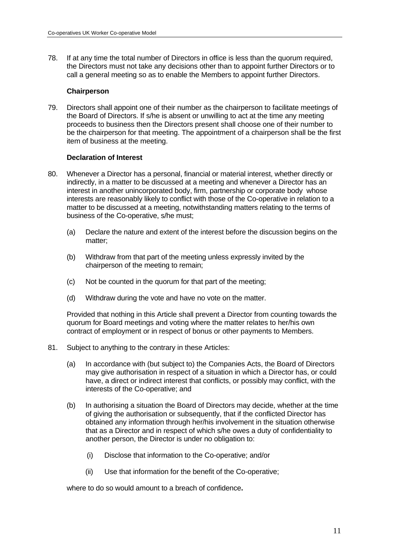78. If at any time the total number of Directors in office is less than the quorum required, the Directors must not take any decisions other than to appoint further Directors or to call a general meeting so as to enable the Members to appoint further Directors.

### **Chairperson**

79. Directors shall appoint one of their number as the chairperson to facilitate meetings of the Board of Directors. If s/he is absent or unwilling to act at the time any meeting proceeds to business then the Directors present shall choose one of their number to be the chairperson for that meeting. The appointment of a chairperson shall be the first item of business at the meeting.

### **Declaration of Interest**

- 80. Whenever a Director has a personal, financial or material interest, whether directly or indirectly, in a matter to be discussed at a meeting and whenever a Director has an interest in another unincorporated body, firm, partnership or corporate body whose interests are reasonably likely to conflict with those of the Co-operative in relation to a matter to be discussed at a meeting, notwithstanding matters relating to the terms of business of the Co-operative, s/he must;
	- (a) Declare the nature and extent of the interest before the discussion begins on the matter;
	- (b) Withdraw from that part of the meeting unless expressly invited by the chairperson of the meeting to remain;
	- (c) Not be counted in the quorum for that part of the meeting;
	- (d) Withdraw during the vote and have no vote on the matter.

 Provided that nothing in this Article shall prevent a Director from counting towards the quorum for Board meetings and voting where the matter relates to her/his own contract of employment or in respect of bonus or other payments to Members.

- 81. Subject to anything to the contrary in these Articles:
	- (a) In accordance with (but subject to) the Companies Acts, the Board of Directors may give authorisation in respect of a situation in which a Director has, or could have, a direct or indirect interest that conflicts, or possibly may conflict, with the interests of the Co-operative; and
	- (b) In authorising a situation the Board of Directors may decide, whether at the time of giving the authorisation or subsequently, that if the conflicted Director has obtained any information through her/his involvement in the situation otherwise that as a Director and in respect of which s/he owes a duty of confidentiality to another person, the Director is under no obligation to:
		- (i) Disclose that information to the Co-operative; and/or
		- (ii) Use that information for the benefit of the Co-operative;

where to do so would amount to a breach of confidence**.**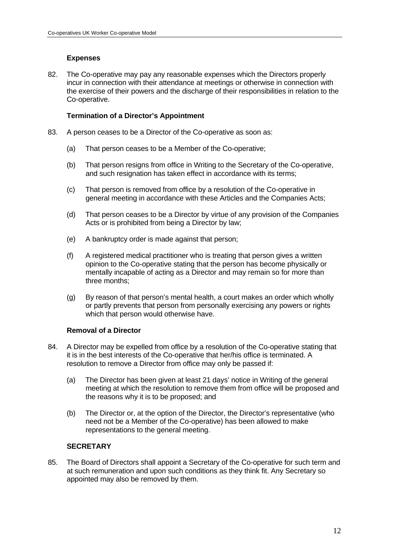### **Expenses**

82. The Co-operative may pay any reasonable expenses which the Directors properly incur in connection with their attendance at meetings or otherwise in connection with the exercise of their powers and the discharge of their responsibilities in relation to the Co-operative.

### **Termination of a Director's Appointment**

- 83. A person ceases to be a Director of the Co-operative as soon as:
	- (a) That person ceases to be a Member of the Co-operative;
	- (b) That person resigns from office in Writing to the Secretary of the Co-operative, and such resignation has taken effect in accordance with its terms:
	- (c) That person is removed from office by a resolution of the Co-operative in general meeting in accordance with these Articles and the Companies Acts;
	- (d) That person ceases to be a Director by virtue of any provision of the Companies Acts or is prohibited from being a Director by law;
	- (e) A bankruptcy order is made against that person;
	- (f) A registered medical practitioner who is treating that person gives a written opinion to the Co-operative stating that the person has become physically or mentally incapable of acting as a Director and may remain so for more than three months;
	- (g) By reason of that person's mental health, a court makes an order which wholly or partly prevents that person from personally exercising any powers or rights which that person would otherwise have.

### **Removal of a Director**

- 84. A Director may be expelled from office by a resolution of the Co-operative stating that it is in the best interests of the Co-operative that her/his office is terminated. A resolution to remove a Director from office may only be passed if:
	- (a) The Director has been given at least 21 days' notice in Writing of the general meeting at which the resolution to remove them from office will be proposed and the reasons why it is to be proposed; and
	- (b) The Director or, at the option of the Director, the Director's representative (who need not be a Member of the Co-operative) has been allowed to make representations to the general meeting.

### **SECRETARY**

85. The Board of Directors shall appoint a Secretary of the Co-operative for such term and at such remuneration and upon such conditions as they think fit. Any Secretary so appointed may also be removed by them.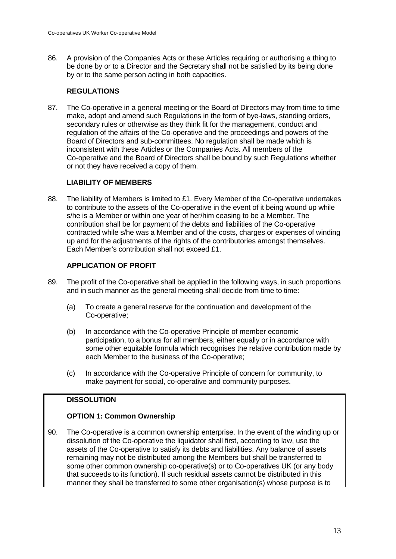86. A provision of the Companies Acts or these Articles requiring or authorising a thing to be done by or to a Director and the Secretary shall not be satisfied by its being done by or to the same person acting in both capacities.

# **REGULATIONS**

87. The Co-operative in a general meeting or the Board of Directors may from time to time make, adopt and amend such Regulations in the form of bye-laws, standing orders, secondary rules or otherwise as they think fit for the management, conduct and regulation of the affairs of the Co-operative and the proceedings and powers of the Board of Directors and sub-committees. No regulation shall be made which is inconsistent with these Articles or the Companies Acts. All members of the Co-operative and the Board of Directors shall be bound by such Regulations whether or not they have received a copy of them.

# **LIABILITY OF MEMBERS**

88. The liability of Members is limited to £1. Every Member of the Co-operative undertakes to contribute to the assets of the Co-operative in the event of it being wound up while s/he is a Member or within one year of her/him ceasing to be a Member. The contribution shall be for payment of the debts and liabilities of the Co-operative contracted while s/he was a Member and of the costs, charges or expenses of winding up and for the adjustments of the rights of the contributories amongst themselves. Each Member's contribution shall not exceed £1.

# **APPLICATION OF PROFIT**

- 89. The profit of the Co-operative shall be applied in the following ways, in such proportions and in such manner as the general meeting shall decide from time to time:
	- (a) To create a general reserve for the continuation and development of the Co-operative;
	- (b) In accordance with the Co-operative Principle of member economic participation, to a bonus for all members, either equally or in accordance with some other equitable formula which recognises the relative contribution made by each Member to the business of the Co-operative;
	- (c) In accordance with the Co-operative Principle of concern for community, to make payment for social, co-operative and community purposes.

# **DISSOLUTION**

# **OPTION 1: Common Ownership**

90. The Co-operative is a common ownership enterprise. In the event of the winding up or dissolution of the Co-operative the liquidator shall first, according to law, use the assets of the Co-operative to satisfy its debts and liabilities. Any balance of assets remaining may not be distributed among the Members but shall be transferred to some other common ownership co-operative(s) or to Co-operatives UK (or any body that succeeds to its function). If such residual assets cannot be distributed in this manner they shall be transferred to some other organisation(s) whose purpose is to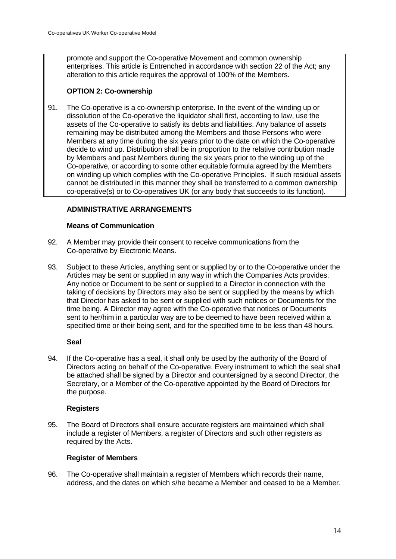promote and support the Co-operative Movement and common ownership enterprises. This article is Entrenched in accordance with section 22 of the Act; any alteration to this article requires the approval of 100% of the Members.

# **OPTION 2: Co-ownership**

91. The Co-operative is a co-ownership enterprise. In the event of the winding up or dissolution of the Co-operative the liquidator shall first, according to law, use the assets of the Co-operative to satisfy its debts and liabilities. Any balance of assets remaining may be distributed among the Members and those Persons who were Members at any time during the six years prior to the date on which the Co-operative decide to wind up. Distribution shall be in proportion to the relative contribution made by Members and past Members during the six years prior to the winding up of the Co-operative, or according to some other equitable formula agreed by the Members on winding up which complies with the Co-operative Principles. If such residual assets cannot be distributed in this manner they shall be transferred to a common ownership co-operative(s) or to Co-operatives UK (or any body that succeeds to its function).

# **ADMINISTRATIVE ARRANGEMENTS**

# **Means of Communication**

- 92. A Member may provide their consent to receive communications from the Co-operative by Electronic Means.
- 93. Subject to these Articles, anything sent or supplied by or to the Co-operative under the Articles may be sent or supplied in any way in which the Companies Acts provides. Any notice or Document to be sent or supplied to a Director in connection with the taking of decisions by Directors may also be sent or supplied by the means by which that Director has asked to be sent or supplied with such notices or Documents for the time being. A Director may agree with the Co-operative that notices or Documents sent to her/him in a particular way are to be deemed to have been received within a specified time or their being sent, and for the specified time to be less than 48 hours.

# **Seal**

94. If the Co-operative has a seal, it shall only be used by the authority of the Board of Directors acting on behalf of the Co-operative. Every instrument to which the seal shall be attached shall be signed by a Director and countersigned by a second Director, the Secretary, or a Member of the Co-operative appointed by the Board of Directors for the purpose.

### **Registers**

95. The Board of Directors shall ensure accurate registers are maintained which shall include a register of Members, a register of Directors and such other registers as required by the Acts.

# **Register of Members**

96. The Co-operative shall maintain a register of Members which records their name, address, and the dates on which s/he became a Member and ceased to be a Member.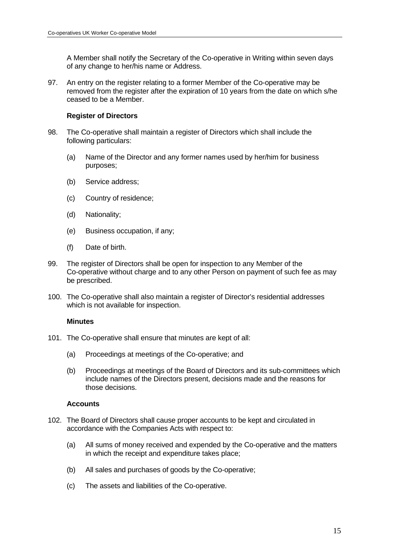A Member shall notify the Secretary of the Co-operative in Writing within seven days of any change to her/his name or Address.

97. An entry on the register relating to a former Member of the Co-operative may be removed from the register after the expiration of 10 years from the date on which s/he ceased to be a Member.

### **Register of Directors**

- 98. The Co-operative shall maintain a register of Directors which shall include the following particulars:
	- (a) Name of the Director and any former names used by her/him for business purposes;
	- (b) Service address;
	- (c) Country of residence;
	- (d) Nationality;
	- (e) Business occupation, if any;
	- (f) Date of birth.
- 99. The register of Directors shall be open for inspection to any Member of the Co-operative without charge and to any other Person on payment of such fee as may be prescribed.
- 100. The Co-operative shall also maintain a register of Director's residential addresses which is not available for inspection.

### **Minutes**

- 101. The Co-operative shall ensure that minutes are kept of all:
	- (a) Proceedings at meetings of the Co-operative; and
	- (b) Proceedings at meetings of the Board of Directors and its sub-committees which include names of the Directors present, decisions made and the reasons for those decisions.

### **Accounts**

- 102. The Board of Directors shall cause proper accounts to be kept and circulated in accordance with the Companies Acts with respect to:
	- (a) All sums of money received and expended by the Co-operative and the matters in which the receipt and expenditure takes place;
	- (b) All sales and purchases of goods by the Co-operative;
	- (c) The assets and liabilities of the Co-operative.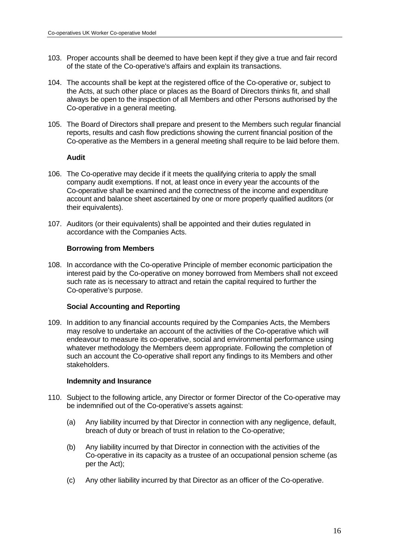- 103. Proper accounts shall be deemed to have been kept if they give a true and fair record of the state of the Co-operative's affairs and explain its transactions.
- 104. The accounts shall be kept at the registered office of the Co-operative or, subject to the Acts, at such other place or places as the Board of Directors thinks fit, and shall always be open to the inspection of all Members and other Persons authorised by the Co-operative in a general meeting.
- 105. The Board of Directors shall prepare and present to the Members such regular financial reports, results and cash flow predictions showing the current financial position of the Co-operative as the Members in a general meeting shall require to be laid before them.

### **Audit**

- 106. The Co-operative may decide if it meets the qualifying criteria to apply the small company audit exemptions. If not, at least once in every year the accounts of the Co-operative shall be examined and the correctness of the income and expenditure account and balance sheet ascertained by one or more properly qualified auditors (or their equivalents).
- 107. Auditors (or their equivalents) shall be appointed and their duties regulated in accordance with the Companies Acts.

### **Borrowing from Members**

108. In accordance with the Co-operative Principle of member economic participation the interest paid by the Co-operative on money borrowed from Members shall not exceed such rate as is necessary to attract and retain the capital required to further the Co-operative's purpose.

# **Social Accounting and Reporting**

109. In addition to any financial accounts required by the Companies Acts, the Members may resolve to undertake an account of the activities of the Co-operative which will endeavour to measure its co-operative, social and environmental performance using whatever methodology the Members deem appropriate. Following the completion of such an account the Co-operative shall report any findings to its Members and other stakeholders.

### **Indemnity and Insurance**

- 110. Subject to the following article, any Director or former Director of the Co-operative may be indemnified out of the Co-operative's assets against:
	- (a) Any liability incurred by that Director in connection with any negligence, default, breach of duty or breach of trust in relation to the Co-operative;
	- (b) Any liability incurred by that Director in connection with the activities of the Co-operative in its capacity as a trustee of an occupational pension scheme (as per the Act);
	- (c) Any other liability incurred by that Director as an officer of the Co-operative.